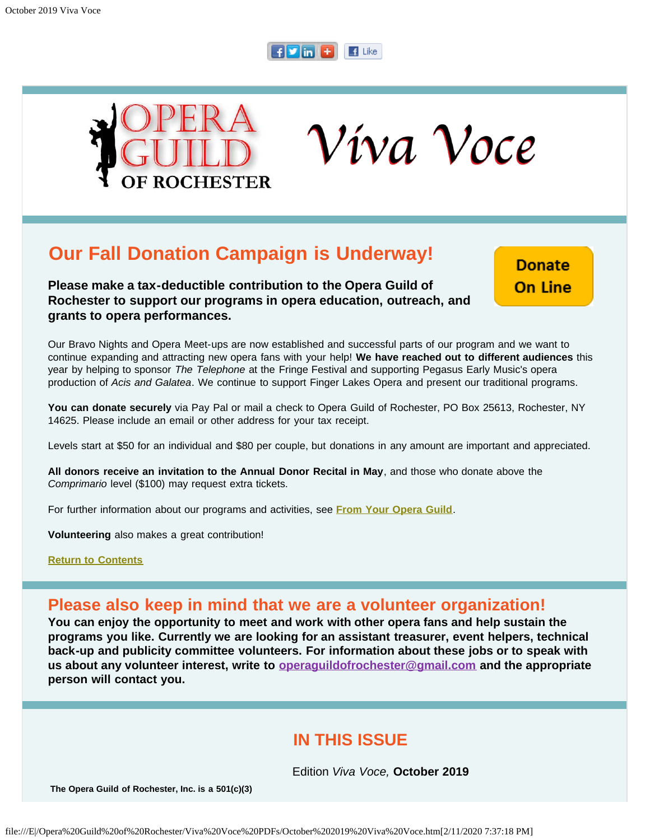## $f$   $\overline{v}$  in  $\overline{t}$   $\overline{f}$  Like

Víva Voce



**Our Fall Donation Campaign is Underway!**

**Please make a tax-deductible contribution to the Opera Guild of Rochester to support our programs in opera education, outreach, and grants to opera performances.**

**Donate On Line** 

Our Bravo Nights and Opera Meet-ups are now established and successful parts of our program and we want to continue expanding and attracting new opera fans with your help! **We have reached out to different audiences** this year by helping to sponsor *The Telephone* at the Fringe Festival and supporting Pegasus Early Music's opera production of *Acis and Galatea*. We continue to support Finger Lakes Opera and present our traditional programs.

**You can donate securely** via Pay Pal or mail a check to Opera Guild of Rochester, PO Box 25613, Rochester, NY 14625. Please include an email or other address for your tax receipt.

Levels start at \$50 for an individual and \$80 per couple, but donations in any amount are important and appreciated.

**All donors receive an invitation to the Annual Donor Recital in May**, and those who donate above the *Comprimario* level (\$100) may request extra tickets.

For further information about our programs and activities, see **[From Your Opera Guild](#page-10-0)**.

**Volunteering** also makes a great contribution!

**[Return to Contents](#page-0-0)**

## **Please also keep in mind that we are a volunteer organization!**

**You can enjoy the opportunity to meet and work with other opera fans and help sustain the programs you like. Currently we are looking for an assistant treasurer, event helpers, technical back-up and publicity committee volunteers. For information about these jobs or to speak with us about any volunteer interest, write to [operaguildofrochester@gmail.com](mailto:operaguildofrochester@gmail.com) and the appropriate person will contact you.**

## **IN THIS ISSUE**

Edition *Viva Voce,* **October 2019**

<span id="page-0-0"></span>**The Opera Guild of Rochester, Inc. is a 501(c)(3)**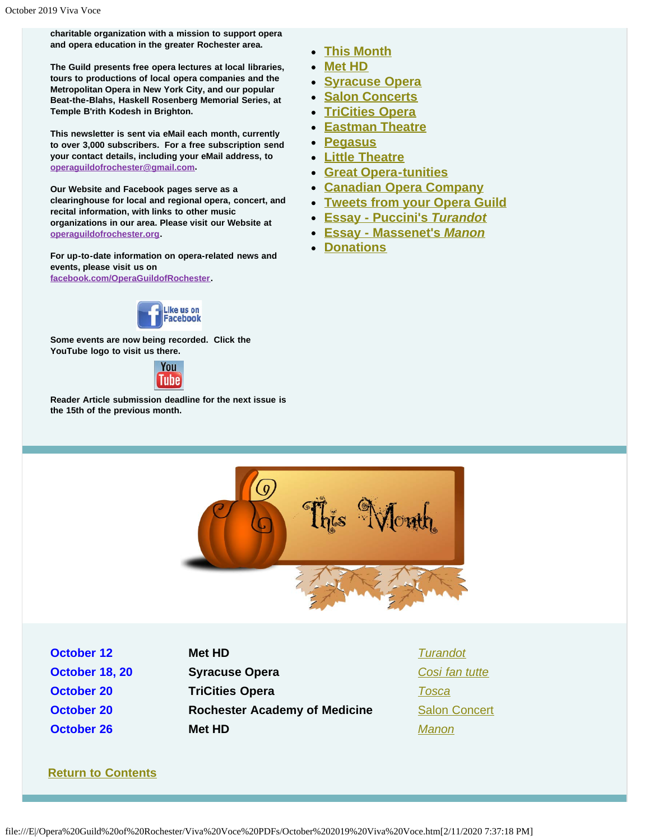**charitable organization with a mission to support opera and opera education in the greater Rochester area.**

**The Guild presents free opera lectures at local libraries, tours to productions of local opera companies and the Metropolitan Opera in New York City, and our popular Beat-the-Blahs, Haskell Rosenberg Memorial Series, at Temple B'rith Kodesh in Brighton.**

**This newsletter is sent via eMail each month, currently to over 3,000 subscribers. For a free subscription send your contact details, including your eMail address, to [operaguildofrochester@gmail.com](mailto:operaguildofrochester@gmail.com).**

**Our Website and Facebook pages serve as a clearinghouse for local and regional opera, concert, and recital information, with links to other music organizations in our area. Please visit our Website at [operaguildofrochester.org](http://operaguildofrochester.org/).**

**For up-to-date information on opera-related news and events, please visit us on [facebook.com/OperaGuildofRochester](http://facebook.com/OperaGuildofRochester).**



**Some events are now being recorded. Click the YouTube logo to visit us there.**



<span id="page-1-0"></span>**Reader Article submission deadline for the next issue is the 15th of the previous month.**

- **[This Month](#page-1-0)**
- **[Met HD](#page-2-0)**
- **[Syracuse Opera](#page-3-0)**
- **[Salon Concerts](#page-4-0)**
- **[TriCities Opera](#page-5-0)**
- **[Eastman Theatre](#page-6-0)**
- **[Pegasus](#page-7-0)**
- **[Little Theatre](#page-9-0)**
- **[Great Opera-tunities](#page-9-1)**
- **[Canadian Opera Company](#page-10-1)**
- **[Tweets from your Opera Guild](#page-10-0)**
- **[Essay Puccini's](#page-11-0)** *[Turandot](#page-11-0)*
- **[Essay Massenet's](#page-12-0)** *[Manon](#page-12-0)*
- **[Donations](#page-13-0)**



**October 12 Met HD** *[Turandot](#page-2-0)*

**October 18, 20 Syracuse Opera** *[Cosi fan tutte](#page-3-0)* **October 20 TriCities Opera** *[Tosca](#page-5-0)* **October 20 <b>Rochester Academy of Medicine** [Salon Concert](#page-4-0) **October 26 Met HD** *[Manon](#page-2-0)*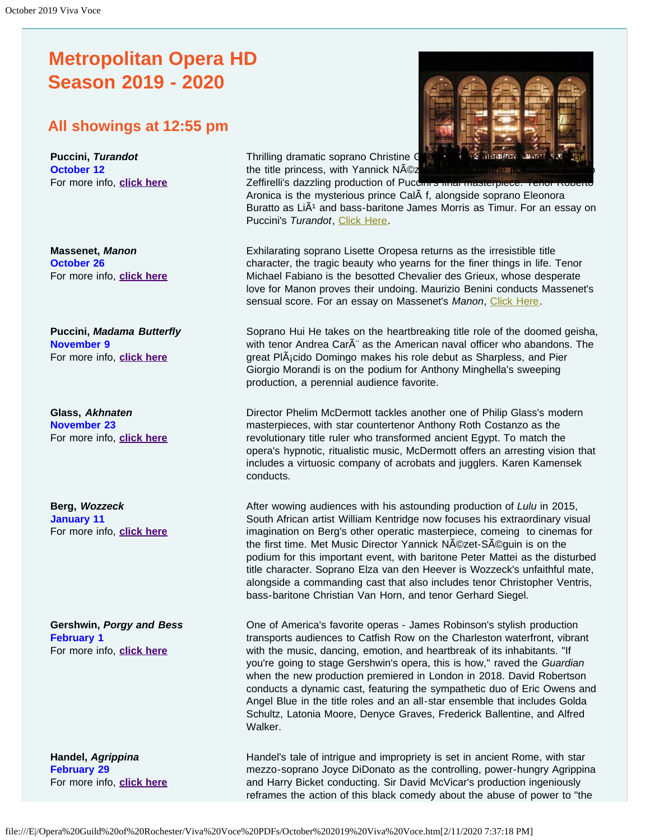# <span id="page-2-0"></span>**Metropolitan Opera HD Season 2019 - 2020**

## **All showings at 12:55 pm**

**Puccini,** *Turandot*  **October 12**  For more info, **[click here](https://www.metopera.org/season/in-cinemas/2019-20-season/turandot-live-in-hd/)**

**Massenet,** *Manon*  **October 26**  For more info, **[click here](https://www.metopera.org/season/in-cinemas/2019-20-season/manon-live-in-hd/)**

**Puccini,** *Madama Butterfly*  **November 9** For more info, **[click here](https://www.metopera.org/season/in-cinemas/2019-20-season/madama-butterfly-live-in-hd/)**

**Glass,** *Akhnaten* **November 23**  For more info, **[click here](https://www.metopera.org/season/in-cinemas/2019-20-season/akhnaten-live-in-hd/)**

**Berg,** *Wozzeck*  **January 11**  For more info, **[click here](https://www.metopera.org/season/in-cinemas/2019-20-season/wozzeck-live-in-hd/)**

**Gershwin,** *Porgy and Bess* **February 1**  For more info, **[click here](https://www.metopera.org/season/in-cinemas/2019-20-season/porgy-and-bess-live-in-hd/)**

**Handel,** *Agrippina*  **February 29**  For more info, **[click here](https://www.metopera.org/season/in-cinemas/2019-20-season/agrippina-live-in-hd/)**

Thrilling dramatic soprano Christine G the title princess, with Yannick Néz

Zeffirelli's dazzling production of Puccini's final masterpiece. Tenor Aronica is the mysterious prince CalÃ f, alongside soprano Eleonora Buratto as LiA<sup>1</sup> and bass-baritone James Morris as Timur. For an essay on Puccini's *Turandot*, [Click Here](#page-11-0).

Exhilarating soprano Lisette Oropesa returns as the irresistible title character, the tragic beauty who yearns for the finer things in life. Tenor Michael Fabiano is the besotted Chevalier des Grieux, whose desperate love for Manon proves their undoing. Maurizio Benini conducts Massenet's sensual score. For an essay on Massenet's *Manon*, [Click Here](#page-12-0).

Soprano Hui He takes on the heartbreaking title role of the doomed geisha, with tenor Andrea CarÂ" as the American naval officer who abandons. The great Pl $\tilde{A}$ icido Domingo makes his role debut as Sharpless, and Pier Giorgio Morandi is on the podium for Anthony Minghella's sweeping production, a perennial audience favorite.

Director Phelim McDermott tackles another one of Philip Glass's modern masterpieces, with star countertenor Anthony Roth Costanzo as the revolutionary title ruler who transformed ancient Egypt. To match the opera's hypnotic, ritualistic music, McDermott offers an arresting vision that includes a virtuosic company of acrobats and jugglers. Karen Kamensek conducts.

After wowing audiences with his astounding production of *Lulu* in 2015, South African artist William Kentridge now focuses his extraordinary visual imagination on Berg's other operatic masterpiece, comeing to cinemas for the first time. Met Music Director Yannick Nézet-Séguin is on the podium for this important event, with baritone Peter Mattei as the disturbed title character. Soprano Elza van den Heever is Wozzeck's unfaithful mate, alongside a commanding cast that also includes tenor Christopher Ventris, bass-baritone Christian Van Horn, and tenor Gerhard Siegel.

One of America's favorite operas - James Robinson's stylish production transports audiences to Catfish Row on the Charleston waterfront, vibrant with the music, dancing, emotion, and heartbreak of its inhabitants. "If you're going to stage Gershwin's opera, this is how," raved the *Guardian* when the new production premiered in London in 2018. David Robertson conducts a dynamic cast, featuring the sympathetic duo of Eric Owens and Angel Blue in the title roles and an all-star ensemble that includes Golda Schultz, Latonia Moore, Denyce Graves, Frederick Ballentine, and Alfred Walker.

Handel's tale of intrigue and impropriety is set in ancient Rome, with star mezzo-soprano Joyce DiDonato as the controlling, power-hungry Agrippina and Harry Bicket conducting. Sir David McVicar's production ingeniously reframes the action of this black comedy about the abuse of power to "the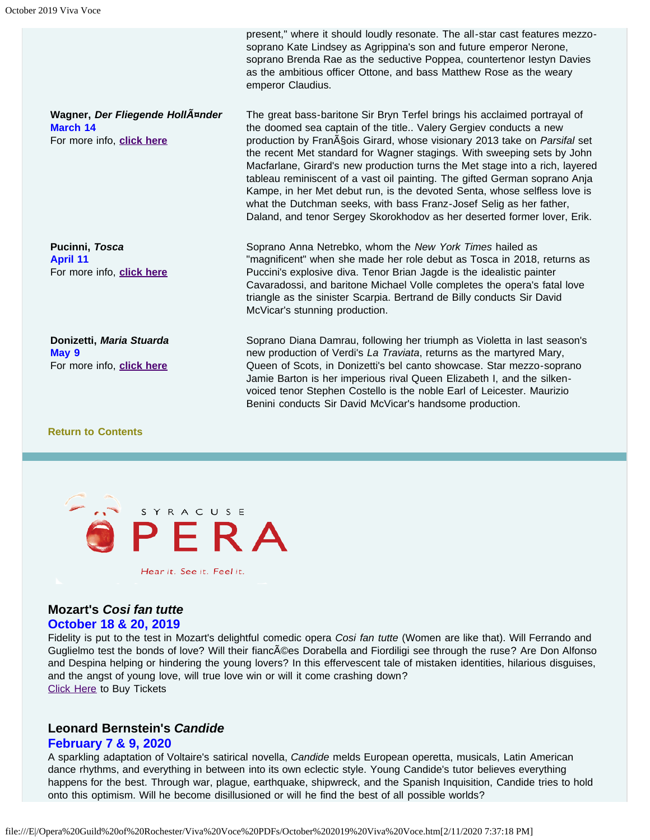**Wagner,** *Der Fliegende Holländer*  **March 14**  For more info, **[click here](https://www.metopera.org/season/in-cinemas/2019-20-season/der-fliegende-hollander-live-in-hd/)**

**Pucinni,** *Tosca*  **April 11**  For more info, **[click here](https://www.metopera.org/season/in-cinemas/2019-20-season/tosca-live-in-hd/)**

**Donizetti,** *Maria Stuarda*  **May 9**  For more info, **[click here](https://www.metopera.org/season/in-cinemas/2019-20-season/maria-stuarda-live-in-hd/)**

## triangle as the sinister Scarpia. Bertrand de Billy conducts Sir David McVicar's stunning production. Soprano Diana Damrau, following her triumph as Violetta in last season's new production of Verdi's *La Traviata*, returns as the martyred Mary, Queen of Scots, in Donizetti's bel canto showcase. Star mezzo-soprano

"magnificent" when she made her role debut as Tosca in 2018, returns as

Soprano Anna Netrebko, whom the *New York Times* hailed as

Puccini's explosive diva. Tenor Brian Jagde is the idealistic painter Cavaradossi, and baritone Michael Volle completes the opera's fatal love

present," where it should loudly resonate. The all-star cast features mezzosoprano Kate Lindsey as Agrippina's son and future emperor Nerone, soprano Brenda Rae as the seductive Poppea, countertenor Iestyn Davies as the ambitious officer Ottone, and bass Matthew Rose as the weary

The great bass-baritone Sir Bryn Terfel brings his acclaimed portrayal of the doomed sea captain of the title.. Valery Gergiev conducts a new production by Fran<sub>AS</sub>ois Girard, whose visionary 2013 take on *Parsifal* set the recent Met standard for Wagner stagings. With sweeping sets by John Macfarlane, Girard's new production turns the Met stage into a rich, layered tableau reminiscent of a vast oil painting. The gifted German soprano Anja Kampe, in her Met debut run, is the devoted Senta, whose selfless love is what the Dutchman seeks, with bass Franz-Josef Selig as her father, Daland, and tenor Sergey Skorokhodov as her deserted former lover, Erik.

emperor Claudius.

Jamie Barton is her imperious rival Queen Elizabeth I, and the silkenvoiced tenor Stephen Costello is the noble Earl of Leicester. Maurizio Benini conducts Sir David McVicar's handsome production.

#### **[Return to Contents](#page-0-0)**

<span id="page-3-0"></span>

### **Mozart's** *Cosi fan tutte*

#### **October 18 & 20, 2019**

Fidelity is put to the test in Mozart's delightful comedic opera *Cosi fan tutte* (Women are like that). Will Ferrando and Guglielmo test the bonds of love? Will their fiancées Dorabella and Fiordiligi see through the ruse? Are Don Alfonso and Despina helping or hindering the young lovers? In this effervescent tale of mistaken identities, hilarious disguises, and the angst of young love, will true love win or will it come crashing down? [Click Here](https://www.syracuseopera.org/subscriptions) to Buy Tickets

#### **Leonard Bernstein's** *Candide*

#### **February 7 & 9, 2020**

A sparkling adaptation of Voltaire's satirical novella, *Candide* melds European operetta, musicals, Latin American dance rhythms, and everything in between into its own eclectic style. Young Candide's tutor believes everything happens for the best. Through war, plague, earthquake, shipwreck, and the Spanish Inquisition, Candide tries to hold onto this optimism. Will he become disillusioned or will he find the best of all possible worlds?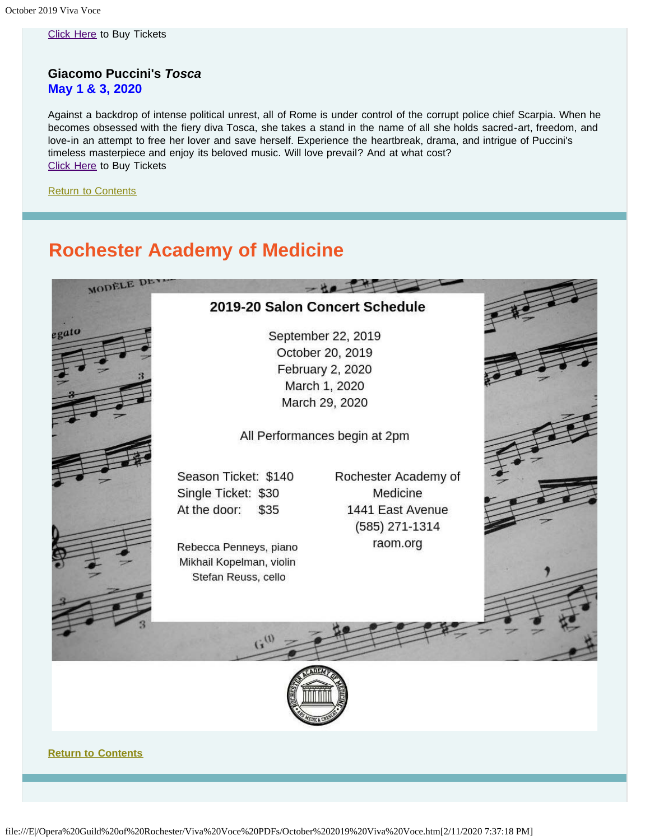[Click Here](https://www.syracuseopera.org/subscriptions) to Buy Tickets

#### **Giacomo Puccini's** *Tosca* **May 1 & 3, 2020**

Against a backdrop of intense political unrest, all of Rome is under control of the corrupt police chief Scarpia. When he becomes obsessed with the fiery diva Tosca, she takes a stand in the name of all she holds sacred-art, freedom, and love-in an attempt to free her lover and save herself. Experience the heartbreak, drama, and intrigue of Puccini's timeless masterpiece and enjoy its beloved music. Will love prevail? And at what cost? **[Click Here](https://www.syracuseopera.org/subscriptions) to Buy Tickets** 

**[Return to Contents](#page-0-0)** 

# **Rochester Academy of Medicine**

<span id="page-4-0"></span>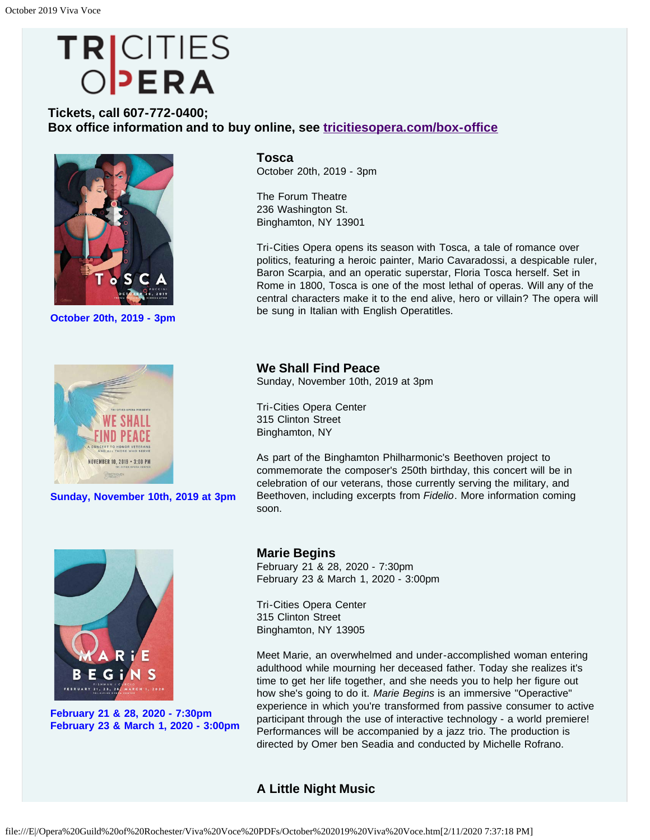# <span id="page-5-0"></span>TRICITIES<br>OPERA

## **Tickets, call 607-772-0400; Box office information and to buy online, see [tricitiesopera.com/box-office](http://tricitiesopera.com/box-office)**



**October 20th, 2019 - 3pm**



**Sunday, November 10th, 2019 at 3pm**



**February 21 & 28, 2020 - 7:30pm February 23 & March 1, 2020 - 3:00pm** **Tosca** October 20th, 2019 - 3pm

The Forum Theatre 236 Washington St. Binghamton, NY 13901

Tri-Cities Opera opens its season with Tosca, a tale of romance over politics, featuring a heroic painter, Mario Cavaradossi, a despicable ruler, Baron Scarpia, and an operatic superstar, Floria Tosca herself. Set in Rome in 1800, Tosca is one of the most lethal of operas. Will any of the central characters make it to the end alive, hero or villain? The opera will be sung in Italian with English Operatitles.

**We Shall Find Peace** Sunday, November 10th, 2019 at 3pm

Tri-Cities Opera Center 315 Clinton Street Binghamton, NY

As part of the Binghamton Philharmonic's Beethoven project to commemorate the composer's 250th birthday, this concert will be in celebration of our veterans, those currently serving the military, and Beethoven, including excerpts from *Fidelio*. More information coming soon.

#### **Marie Begins** February 21 & 28, 2020 - 7:30pm February 23 & March 1, 2020 - 3:00pm

Tri-Cities Opera Center 315 Clinton Street Binghamton, NY 13905

Meet Marie, an overwhelmed and under-accomplished woman entering adulthood while mourning her deceased father. Today she realizes it's time to get her life together, and she needs you to help her figure out how she's going to do it. *Marie Begins* is an immersive "Operactive" experience in which you're transformed from passive consumer to active participant through the use of interactive technology - a world premiere! Performances will be accompanied by a jazz trio. The production is directed by Omer ben Seadia and conducted by Michelle Rofrano.

## **A Little Night Music**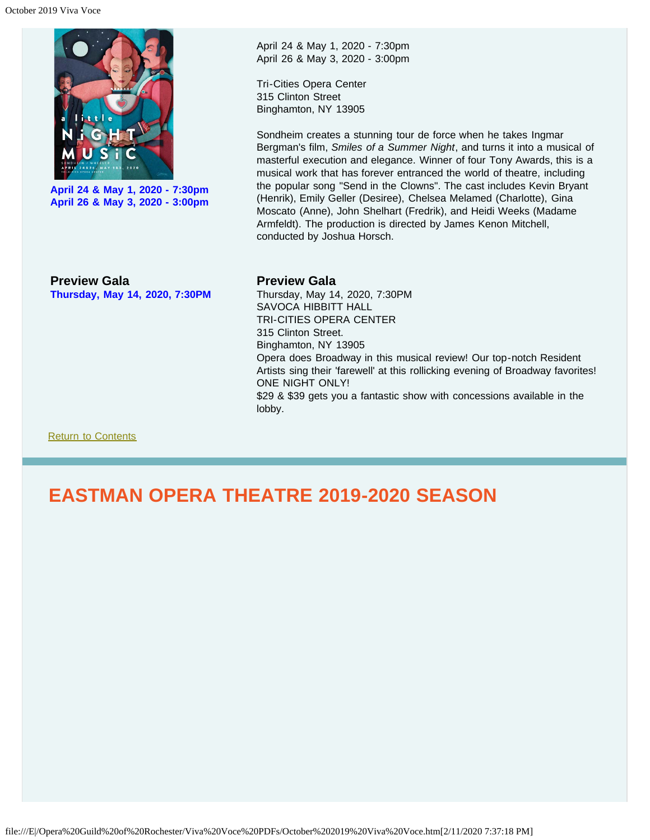

**April 24 & May 1, 2020 - 7:30pm April 26 & May 3, 2020 - 3:00pm** April 24 & May 1, 2020 - 7:30pm April 26 & May 3, 2020 - 3:00pm

Tri-Cities Opera Center 315 Clinton Street Binghamton, NY 13905

Sondheim creates a stunning tour de force when he takes Ingmar Bergman's film, *Smiles of a Summer Night*, and turns it into a musical of masterful execution and elegance. Winner of four Tony Awards, this is a musical work that has forever entranced the world of theatre, including the popular song "Send in the Clowns". The cast includes Kevin Bryant (Henrik), Emily Geller (Desiree), Chelsea Melamed (Charlotte), Gina Moscato (Anne), John Shelhart (Fredrik), and Heidi Weeks (Madame Armfeldt). The production is directed by James Kenon Mitchell, conducted by Joshua Horsch.

**Preview Gala Thursday, May 14, 2020, 7:30PM**

#### **Preview Gala**

Thursday, May 14, 2020, 7:30PM SAVOCA HIBBITT HALL TRI-CITIES OPERA CENTER 315 Clinton Street. Binghamton, NY 13905 Opera does Broadway in this musical review! Our top-notch Resident Artists sing their 'farewell' at this rollicking evening of Broadway favorites! ONE NIGHT ONLY! \$29 & \$39 gets you a fantastic show with concessions available in the lobby.

[Return to Contents](#page-0-0)

# <span id="page-6-0"></span>**EASTMAN OPERA THEATRE 2019-2020 SEASON**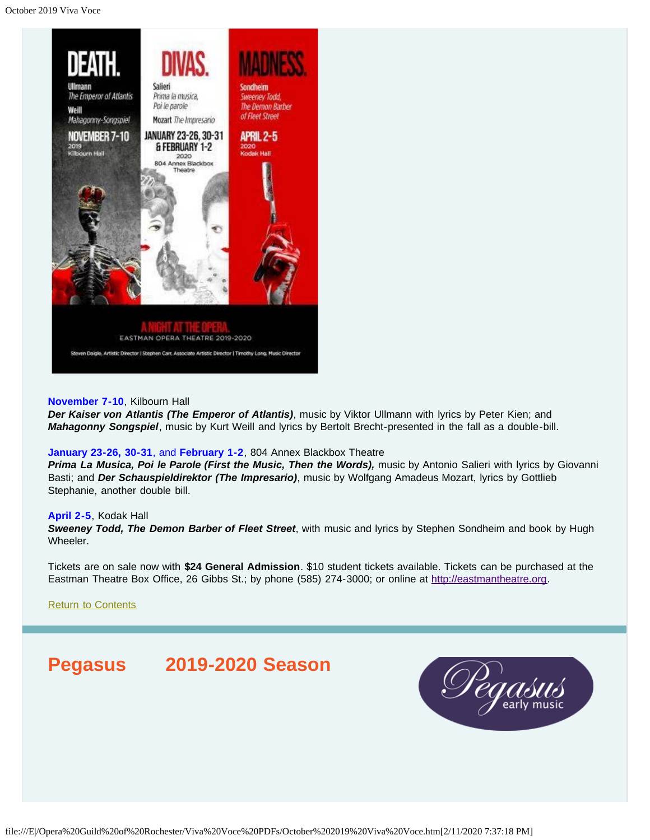

#### **November 7-10**, Kilbourn Hall

*Der Kaiser von Atlantis (The Emperor of Atlantis)*, music by Viktor Ullmann with lyrics by Peter Kien; and *Mahagonny Songspiel*, music by Kurt Weill and lyrics by Bertolt Brecht-presented in the fall as a double-bill.

#### **January 23-26, 30-31**, and **February 1-2**, 804 Annex Blackbox Theatre

*Prima La Musica, Poi le Parole (First the Music, Then the Words),* music by Antonio Salieri with lyrics by Giovanni Basti; and *Der Schauspieldirektor (The Impresario)*, music by Wolfgang Amadeus Mozart, lyrics by Gottlieb Stephanie, another double bill.

#### **April 2-5**, Kodak Hall

*Sweeney Todd, The Demon Barber of Fleet Street*, with music and lyrics by Stephen Sondheim and book by Hugh Wheeler.

Tickets are on sale now with **\$24 General Admission**. \$10 student tickets available. Tickets can be purchased at the Eastman Theatre Box Office, 26 Gibbs St.; by phone (585) 274-3000; or online at [http://eastmantheatre.org](http://www.eastmantheatre.org/).

[Return to Contents](#page-0-0)

## <span id="page-7-0"></span>**Pegasus 2019-2020 Season**

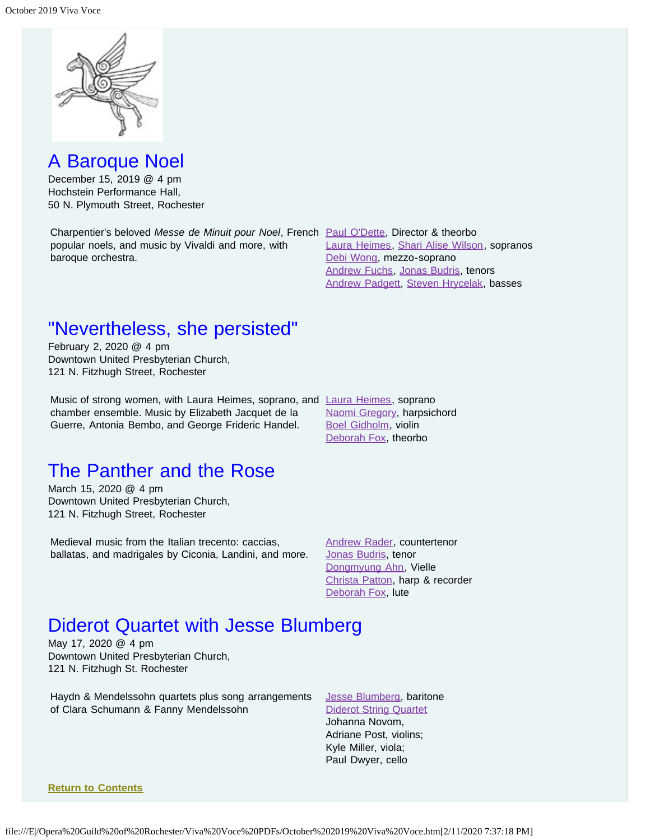

A Baroque Noel

December 15, 2019 @ 4 pm Hochstein Performance Hall, 50 N. Plymouth Street, Rochester

Charpentier's beloved *Messe de Minuit pour Noel*, French [Paul O'Dette](https://www.pegasusearlymusic.org/artist/paul-odette/), Director & theorbo popular noels, and music by Vivaldi and more, with baroque orchestra.

[Laura Heimes](https://www.pegasusearlymusic.org/artist/laura-heimes-2/), [Shari Alise Wilson,](https://www.pegasusearlymusic.org/artist/shari-alise-wilson/) sopranos [Debi Wong,](https://www.pegasusearlymusic.org/artist/debi-wong/) mezzo-soprano [Andrew Fuchs,](https://www.pegasusearlymusic.org/artist/andrew-fuchs/) [Jonas Budris,](https://www.pegasusearlymusic.org/artist/jonas-budris/) tenors [Andrew Padgett](https://www.pegasusearlymusic.org/artist/andrew-padgett/), [Steven Hrycelak](https://www.pegasusearlymusic.org/artist/steven-hrycelak/), basses

# "Nevertheless, she persisted"

February 2, 2020 @ 4 pm Downtown United Presbyterian Church, 121 N. Fitzhugh Street, Rochester

Music of strong women, with [Laura Heimes](https://www.pegasusearlymusic.org/artist/laura-heimes-2/), soprano, and Laura Heimes, soprano chamber ensemble. Music by Elizabeth Jacquet de la Guerre, Antonia Bembo, and George Frideric Handel.

[Naomi Gregory,](https://www.pegasusearlymusic.org/artist/naomi-gregory/) harpsichord [Boel Gidholm,](https://www.pegasusearlymusic.org/artist/boel-gidholm/) violin [Deborah Fox,](https://www.pegasusearlymusic.org/artist/deborah-fox/) theorbo

# The Panther and the Rose

March 15, 2020 @ 4 pm Downtown United Presbyterian Church, 121 N. Fitzhugh Street, Rochester

Medieval music from the Italian trecento: caccias, ballatas, and madrigales by Ciconia, Landini, and more. [Andrew Rader,](https://www.pegasusearlymusic.org/artist/andrew-rader/) countertenor [Jonas Budris,](https://www.pegasusearlymusic.org/artist/jonas-budris/) tenor [Dongmyung Ahn](https://www.pegasusearlymusic.org/artist/dongmyung-ahn/), Vielle [Christa Patton,](https://www.pegasusearlymusic.org/artist/christa-patton/) harp & recorder [Deborah Fox,](https://www.pegasusearlymusic.org/artist/deborah-fox/) lute

## Diderot Quartet with Jesse Blumberg

May 17, 2020 @ 4 pm Downtown United Presbyterian Church, 121 N. Fitzhugh St. Rochester

Haydn & Mendelssohn quartets plus song arrangements of Clara Schumann & Fanny Mendelssohn

[Jesse Blumberg](https://www.pegasusearlymusic.org/artist/jesse-blumberg/), baritone [Diderot String Quartet](https://www.pegasusearlymusic.org/artist/diderot-string-quartet/) Johanna Novom, Adriane Post, violins; Kyle Miller, viola; Paul Dwyer, cello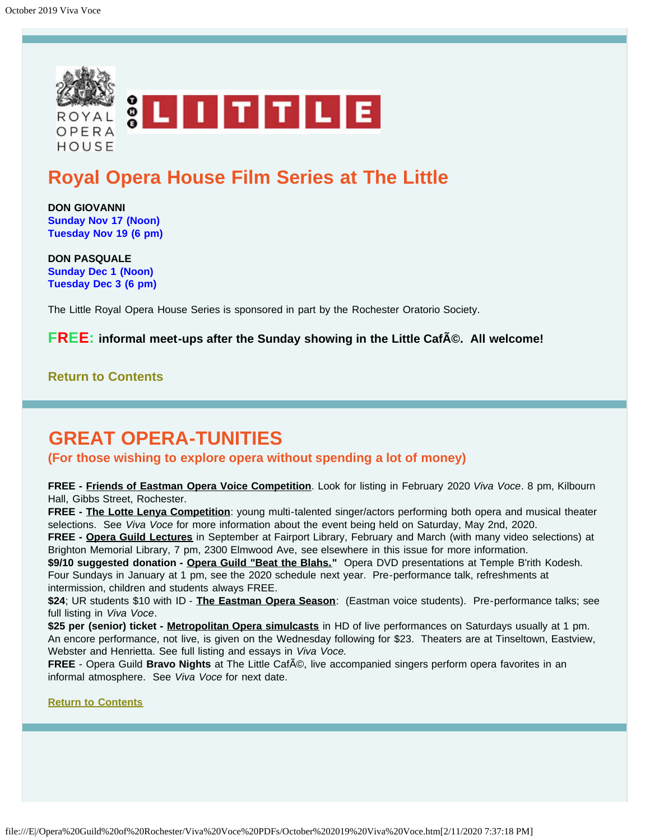<span id="page-9-0"></span>

# **Royal Opera House Film Series at The Little**

**DON GIOVANNI Sunday Nov 17 (Noon) Tuesday Nov 19 (6 pm)**

**DON PASQUALE Sunday Dec 1 (Noon) Tuesday Dec 3 (6 pm)**

The Little Royal Opera House Series is sponsored in part by the Rochester Oratorio Society.

**FREE:** informal meet-ups after the Sunday showing in the Little CafA©. All welcome!

**[Return to Contents](#page-0-0)**

# <span id="page-9-1"></span>**GREAT OPERA-TUNITIES**

**(For those wishing to explore opera without spending a lot of money)**

**FREE - Friends of Eastman Opera Voice Competition**. Look for listing in February 2020 *Viva Voce*. 8 pm, Kilbourn Hall, Gibbs Street, Rochester.

**FREE - The Lotte Lenya Competition**: young multi-talented singer/actors performing both opera and musical theater selections. See *Viva Voce* for more information about the event being held on Saturday, May 2nd, 2020.

**FREE - Opera Guild Lectures** in September at Fairport Library, February and March (with many video selections) at Brighton Memorial Library, 7 pm, 2300 Elmwood Ave, see elsewhere in this issue for more information.

\$9/10 suggested donation - Opera Guild "Beat the Blahs." Opera DVD presentations at Temple B'rith Kodesh. Four Sundays in January at 1 pm, see the 2020 schedule next year. Pre-performance talk, refreshments at intermission, children and students always FREE.

**\$24**; UR students \$10 with ID - **The Eastman Opera Season**: (Eastman voice students). Pre-performance talks; see full listing in *Viva Voce*.

**\$25 per (senior) ticket - Metropolitan Opera simulcasts** in HD of live performances on Saturdays usually at 1 pm. An encore performance, not live, is given on the Wednesday following for \$23. Theaters are at Tinseltown, Eastview, Webster and Henrietta. See full listing and essays in *Viva Voce.*

FREE - Opera Guild Bravo Nights at The Little CafA<sup>®</sup>, live accompanied singers perform opera favorites in an informal atmosphere. See *Viva Voce* for next date.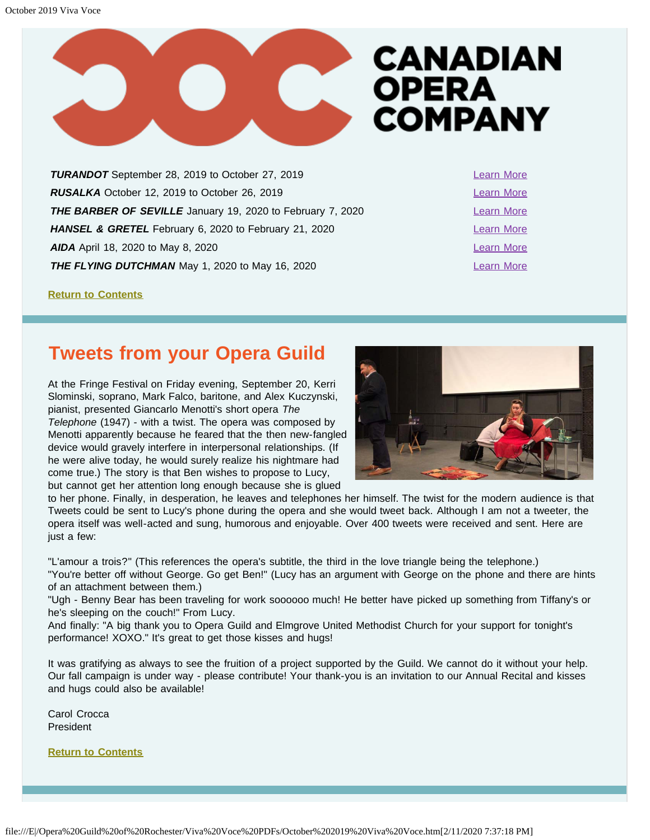

<span id="page-10-1"></span>**TURANDOT** September 28, 2019 to October 27, 2019 **[Learn More](https://www.coc.ca/productions/18680)** *RUSALKA* October 12, 2019 to October 26, 2019 **[Learn More](https://www.coc.ca/productions/18705) THE BARBER OF SEVILLE** January 19, 2020 to February 7, 2020 **HANSEL & GRETEL** February 6, 2020 to February 21, 2020 **AIDA** April 18, 2020 to May 8, 2020 **THE FLYING DUTCHMAN** May 1, 2020 to May 16, 2020

**[Return to Contents](#page-0-0)**

# <span id="page-10-0"></span>**Tweets from your Opera Guild**

At the Fringe Festival on Friday evening, September 20, Kerri Slominski, soprano, Mark Falco, baritone, and Alex Kuczynski, pianist, presented Giancarlo Menotti's short opera *The Telephone* (1947) - with a twist. The opera was composed by Menotti apparently because he feared that the then new-fangled device would gravely interfere in interpersonal relationships. (If he were alive today, he would surely realize his nightmare had come true.) The story is that Ben wishes to propose to Lucy, but cannot get her attention long enough because she is glued



to her phone. Finally, in desperation, he leaves and telephones her himself. The twist for the modern audience is that Tweets could be sent to Lucy's phone during the opera and she would tweet back. Although I am not a tweeter, the opera itself was well-acted and sung, humorous and enjoyable. Over 400 tweets were received and sent. Here are just a few:

"L'amour a trois?" (This references the opera's subtitle, the third in the love triangle being the telephone.) "You're better off without George. Go get Ben!" (Lucy has an argument with George on the phone and there are hints of an attachment between them.)

"Ugh - Benny Bear has been traveling for work soooooo much! He better have picked up something from Tiffany's or he's sleeping on the couch!" From Lucy.

And finally: "A big thank you to Opera Guild and Elmgrove United Methodist Church for your support for tonight's performance! XOXO." It's great to get those kisses and hugs!

It was gratifying as always to see the fruition of a project supported by the Guild. We cannot do it without your help. Our fall campaign is under way - please contribute! Your thank-you is an invitation to our Annual Recital and kisses and hugs could also be available!

Carol Crocca President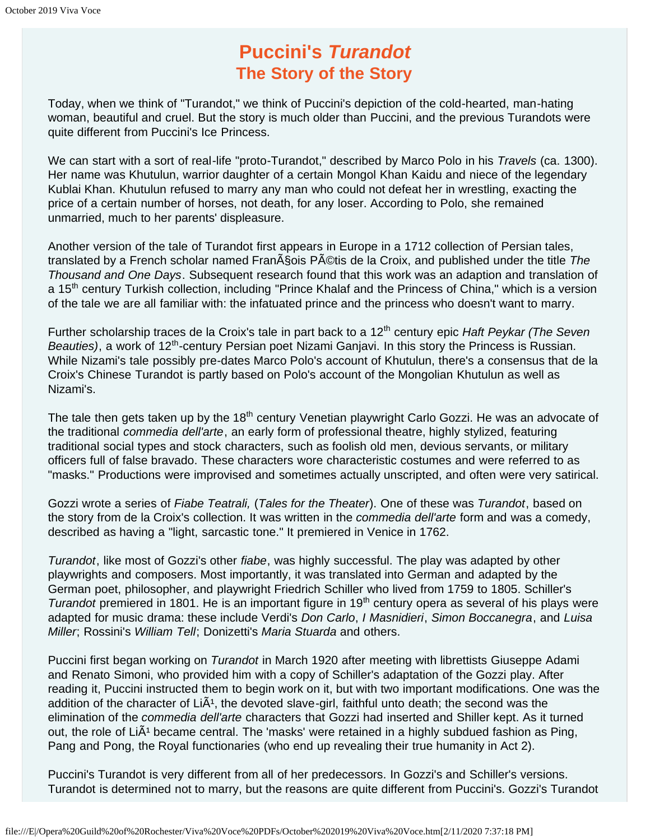# **Puccini's** *Turandot* **The Story of the Story**

<span id="page-11-0"></span>Today, when we think of "Turandot," we think of Puccini's depiction of the cold-hearted, man-hating woman, beautiful and cruel. But the story is much older than Puccini, and the previous Turandots were quite different from Puccini's Ice Princess.

We can start with a sort of real-life "proto-Turandot," described by Marco Polo in his *Travels* (ca. 1300). Her name was Khutulun, warrior daughter of a certain Mongol Khan Kaidu and niece of the legendary Kublai Khan. Khutulun refused to marry any man who could not defeat her in wrestling, exacting the price of a certain number of horses, not death, for any loser. According to Polo, she remained unmarried, much to her parents' displeasure.

Another version of the tale of Turandot first appears in Europe in a 1712 collection of Persian tales, translated by a French scholar named Fran§ois P©tis de la Croix, and published under the title *The Thousand and One Days*. Subsequent research found that this work was an adaption and translation of a 15<sup>th</sup> century Turkish collection, including "Prince Khalaf and the Princess of China," which is a version of the tale we are all familiar with: the infatuated prince and the princess who doesn't want to marry.

Further scholarship traces de la Croix's tale in part back to a 12<sup>th</sup> century epic *Haft Peykar (The Seven Beauties*), a work of 12<sup>th</sup>-century Persian poet Nizami Ganjavi. In this story the Princess is Russian. While Nizami's tale possibly pre-dates Marco Polo's account of Khutulun, there's a consensus that de la Croix's Chinese Turandot is partly based on Polo's account of the Mongolian Khutulun as well as Nizami's.

The tale then gets taken up by the 18<sup>th</sup> century Venetian playwright Carlo Gozzi. He was an advocate of the traditional *commedia dell'arte*, an early form of professional theatre, highly stylized, featuring traditional social types and stock characters, such as foolish old men, devious servants, or military officers full of false bravado. These characters wore characteristic costumes and were referred to as "masks." Productions were improvised and sometimes actually unscripted, and often were very satirical.

Gozzi wrote a series of *Fiabe Teatrali,* (*Tales for the Theater*). One of these was *Turandot*, based on the story from de la Croix's collection. It was written in the *commedia dell'arte* form and was a comedy, described as having a "light, sarcastic tone." It premiered in Venice in 1762.

*Turandot*, like most of Gozzi's other *fiabe*, was highly successful. The play was adapted by other playwrights and composers. Most importantly, it was translated into German and adapted by the German poet, philosopher, and playwright Friedrich Schiller who lived from 1759 to 1805. Schiller's *Turandot* premiered in 1801. He is an important figure in 19<sup>th</sup> century opera as several of his plays were adapted for music drama: these include Verdi's *Don Carlo*, *I Masnidieri*, *Simon Boccanegra*, and *Luisa Miller*; Rossini's *William Tell*; Donizetti's *Maria Stuarda* and others.

Puccini first began working on *Turandot* in March 1920 after meeting with librettists Giuseppe Adami and Renato Simoni, who provided him with a copy of Schiller's adaptation of the Gozzi play. After reading it, Puccini instructed them to begin work on it, but with two important modifications. One was the addition of the character of  $Li\tilde{A}$ <sup>1</sup>, the devoted slave-girl, faithful unto death; the second was the elimination of the *commedia dell'arte* characters that Gozzi had inserted and Shiller kept. As it turned out, the role of  $Li\tilde{A}$ <sup>1</sup> became central. The 'masks' were retained in a highly subdued fashion as Ping, Pang and Pong, the Royal functionaries (who end up revealing their true humanity in Act 2).

Puccini's Turandot is very different from all of her predecessors. In Gozzi's and Schiller's versions. Turandot is determined not to marry, but the reasons are quite different from Puccini's. Gozzi's Turandot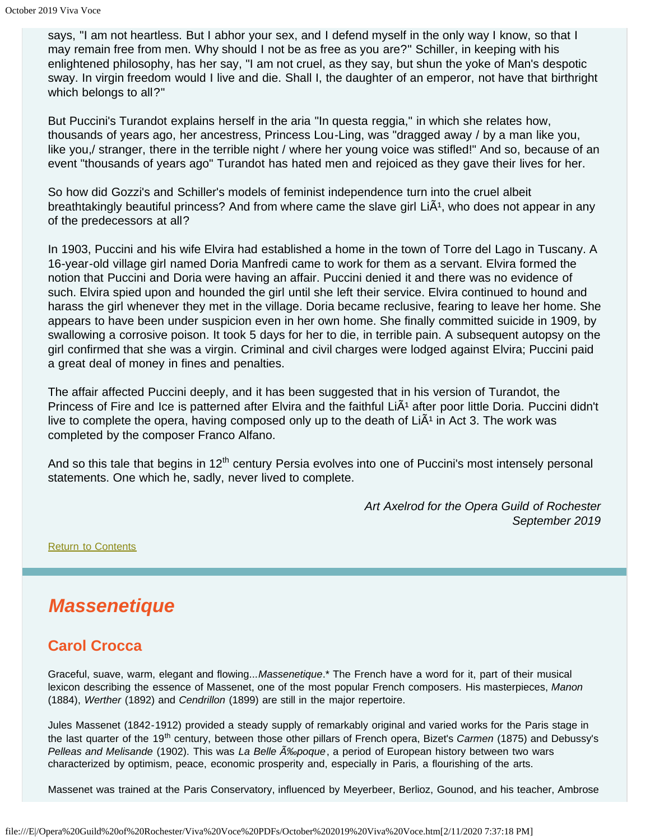says, "I am not heartless. But I abhor your sex, and I defend myself in the only way I know, so that I may remain free from men. Why should I not be as free as you are?" Schiller, in keeping with his enlightened philosophy, has her say, "I am not cruel, as they say, but shun the yoke of Man's despotic sway. In virgin freedom would I live and die. Shall I, the daughter of an emperor, not have that birthright which belongs to all?"

But Puccini's Turandot explains herself in the aria "In questa reggia," in which she relates how, thousands of years ago, her ancestress, Princess Lou-Ling, was "dragged away / by a man like you, like you,/ stranger, there in the terrible night / where her young voice was stifled!" And so, because of an event "thousands of years ago" Turandot has hated men and rejoiced as they gave their lives for her.

So how did Gozzi's and Schiller's models of feminist independence turn into the cruel albeit breathtakingly beautiful princess? And from where came the slave girl  $Li\tilde{A}^1$ , who does not appear in any of the predecessors at all?

In 1903, Puccini and his wife Elvira had established a home in the town of Torre del Lago in Tuscany. A 16-year-old village girl named Doria Manfredi came to work for them as a servant. Elvira formed the notion that Puccini and Doria were having an affair. Puccini denied it and there was no evidence of such. Elvira spied upon and hounded the girl until she left their service. Elvira continued to hound and harass the girl whenever they met in the village. Doria became reclusive, fearing to leave her home. She appears to have been under suspicion even in her own home. She finally committed suicide in 1909, by swallowing a corrosive poison. It took 5 days for her to die, in terrible pain. A subsequent autopsy on the girl confirmed that she was a virgin. Criminal and civil charges were lodged against Elvira; Puccini paid a great deal of money in fines and penalties.

The affair affected Puccini deeply, and it has been suggested that in his version of Turandot, the Princess of Fire and Ice is patterned after Elvira and the faithful Li $\tilde{A}$ <sup>1</sup> after poor little Doria. Puccini didn't live to complete the opera, having composed only up to the death of  $Li\tilde{A}^1$  in Act 3. The work was completed by the composer Franco Alfano.

And so this tale that begins in 12<sup>th</sup> century Persia evolves into one of Puccini's most intensely personal statements. One which he, sadly, never lived to complete.

> *Art Axelrod for the Opera Guild of Rochester September 2019*

[Return to Contents](#page-0-0)

# <span id="page-12-0"></span>*Massenetique*

## **Carol Crocca**

Graceful, suave, warm, elegant and flowing...*Massenetique*.\* The French have a word for it, part of their musical lexicon describing the essence of Massenet, one of the most popular French composers. His masterpieces, *Manon* (1884), *Werther* (1892) and *Cendrillon* (1899) are still in the major repertoire.

Jules Massenet (1842-1912) provided a steady supply of remarkably original and varied works for the Paris stage in the last quarter of the 19th century, between those other pillars of French opera, Bizet's *Carmen* (1875) and Debussy's *Pelleas and Melisande* (1902). This was *La Belle ‰poque*, a period of European history between two wars characterized by optimism, peace, economic prosperity and, especially in Paris, a flourishing of the arts.

Massenet was trained at the Paris Conservatory, influenced by Meyerbeer, Berlioz, Gounod, and his teacher, Ambrose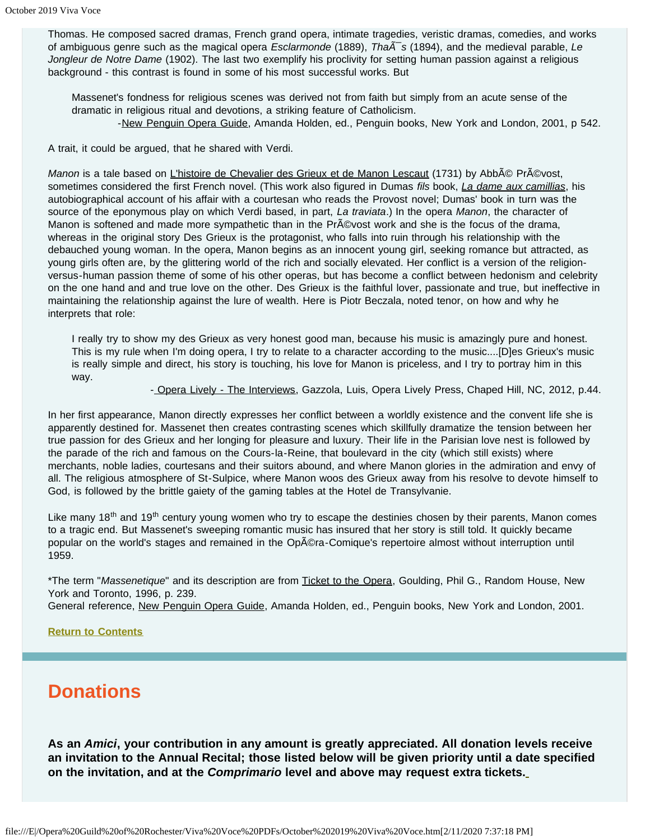Thomas. He composed sacred dramas, French grand opera, intimate tragedies, veristic dramas, comedies, and works of ambiguous genre such as the magical opera *Esclarmonde* (1889), *Tha* $\tilde{A}$ s (1894), and the medieval parable, *Le Jongleur de Notre Dame* (1902). The last two exemplify his proclivity for setting human passion against a religious background - this contrast is found in some of his most successful works. But

Massenet's fondness for religious scenes was derived not from faith but simply from an acute sense of the dramatic in religious ritual and devotions, a striking feature of Catholicism. -New Penguin Opera Guide, Amanda Holden, ed., Penguin books, New York and London, 2001, p 542.

A trait, it could be argued, that he shared with Verdi.

*Manon* is a tale based on *L'histoire de Chevalier des Grieux et de Manon Lescaut* (1731) by Abb© Pr©vost, sometimes considered the first French novel. (This work also figured in Dumas *fils* book, *La dame aux camillias*, his autobiographical account of his affair with a courtesan who reads the Provost novel; Dumas' book in turn was the source of the eponymous play on which Verdi based, in part, *La traviata*.) In the opera *Manon*, the character of Manon is softened and made more sympathetic than in the Pr©vost work and she is the focus of the drama, whereas in the original story Des Grieux is the protagonist, who falls into ruin through his relationship with the debauched young woman. In the opera, Manon begins as an innocent young girl, seeking romance but attracted, as young girls often are, by the glittering world of the rich and socially elevated. Her conflict is a version of the religionversus-human passion theme of some of his other operas, but has become a conflict between hedonism and celebrity on the one hand and and true love on the other. Des Grieux is the faithful lover, passionate and true, but ineffective in maintaining the relationship against the lure of wealth. Here is Piotr Beczala, noted tenor, on how and why he interprets that role:

I really try to show my des Grieux as very honest good man, because his music is amazingly pure and honest. This is my rule when I'm doing opera, I try to relate to a character according to the music....[D]es Grieux's music is really simple and direct, his story is touching, his love for Manon is priceless, and I try to portray him in this way.

- Opera Lively - The Interviews, Gazzola, Luis, Opera Lively Press, Chaped Hill, NC, 2012, p.44.

In her first appearance, Manon directly expresses her conflict between a worldly existence and the convent life she is apparently destined for. Massenet then creates contrasting scenes which skillfully dramatize the tension between her true passion for des Grieux and her longing for pleasure and luxury. Their life in the Parisian love nest is followed by the parade of the rich and famous on the Cours-la-Reine, that boulevard in the city (which still exists) where merchants, noble ladies, courtesans and their suitors abound, and where Manon glories in the admiration and envy of all. The religious atmosphere of St-Sulpice, where Manon woos des Grieux away from his resolve to devote himself to God, is followed by the brittle gaiety of the gaming tables at the Hotel de Transylvanie.

Like many 18<sup>th</sup> and 19<sup>th</sup> century young women who try to escape the destinies chosen by their parents, Manon comes to a tragic end. But Massenet's sweeping romantic music has insured that her story is still told. It quickly became popular on the world's stages and remained in the Opéra-Comique's repertoire almost without interruption until 1959.

\*The term "*Massenetique*" and its description are from Ticket to the Opera, Goulding, Phil G., Random House, New York and Toronto, 1996, p. 239.

General reference, New Penguin Opera Guide, Amanda Holden, ed., Penguin books, New York and London, 2001.

#### **[Return to Contents](#page-0-0)**

## <span id="page-13-0"></span>**Donations**

**As an** *Amici***, your contribution in any amount is greatly appreciated. All donation levels receive an invitation to the Annual Recital; those listed below will be given priority until a date specified on the invitation, and at the** *Comprimario* **level and above may request extra tickets.**